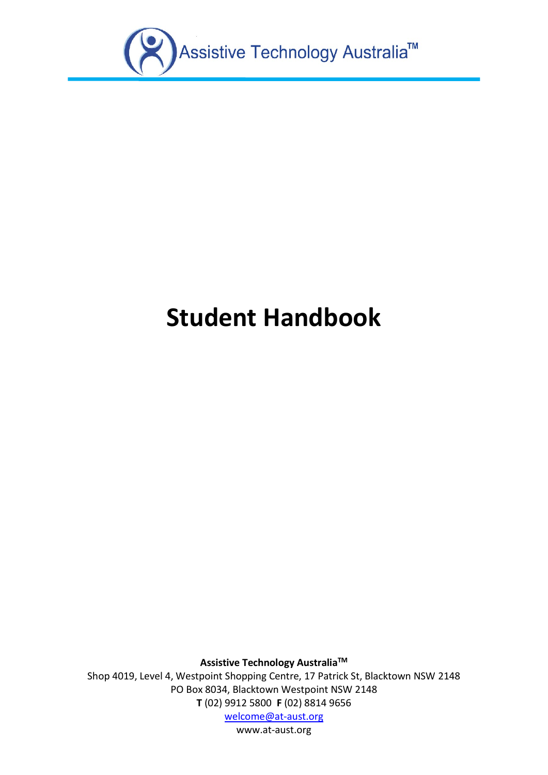

# **Student Handbook**

**Assistive Technology AustraliaTM**

Shop 4019, Level 4, Westpoint Shopping Centre, 17 Patrick St, Blacktown NSW 2148 PO Box 8034, Blacktown Westpoint NSW 2148 **T** (02) 9912 5800 **F** (02) 8814 9656

[welcome@at-aust.org](mailto:welcome@at-aust.org)

[www.at-aust.org](http://www.at-aust.org/)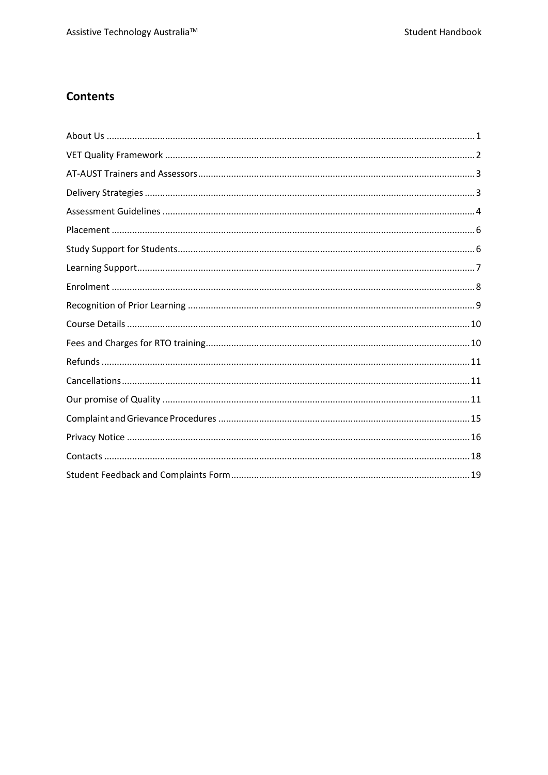# **Contents**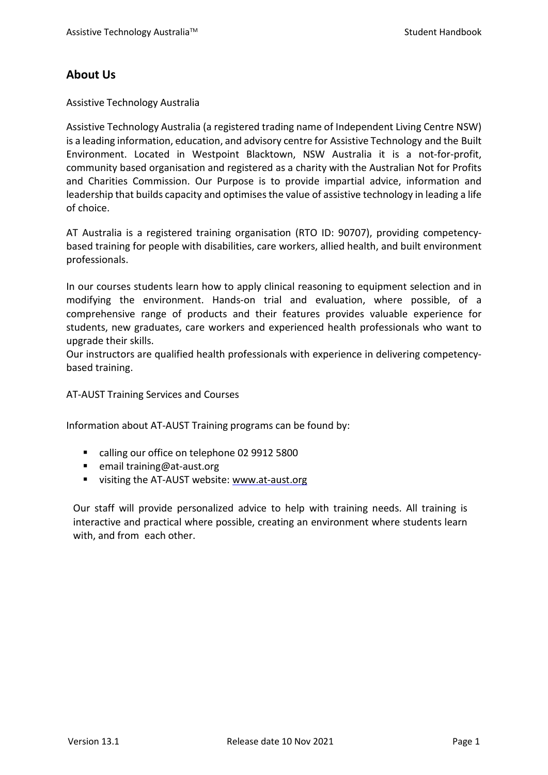# <span id="page-2-0"></span>**About Us**

Assistive Technology Australia

Assistive Technology Australia (a registered trading name of Independent Living Centre NSW) is a leading information, education, and advisory centre for Assistive [Technology](http://at-aust.org/home/assistive_technology/assistive_technology.html) and the [Built](http://at-aust.org/home/access/access.html) [Environment.](http://at-aust.org/home/access/access.html) Located in Westpoint Blacktown, NSW Australia it is a not-for-profit, community based organisation and registered as a charity with the Australian Not for Profits and Charities Commission. Our Purpose is to provide impartial advice, information and leadership that builds capacity and optimises the value of assistive technology in leading a life of choice.

AT Australia is a registered training organisation (RTO ID: 90707), providing competencybased training for people with disabilities, care workers, allied health, and built environment professionals.

In our courses students learn how to apply clinical reasoning to equipment selection and in modifying the environment. Hands-on trial and evaluation, where possible, of a comprehensive range of products and their features provides valuable experience for students, new graduates, care workers and experienced health professionals who want to upgrade their skills.

Our instructors are qualified health professionals with experience in delivering competencybased training.

AT-AUST Training Services and Courses

Information about AT-AUST Training programs can be found by:

- calling our office on telephone 02 9912 5800
- email training@at-aust.org
- visiting the AT-AUST website: [www.at-aust.org](http://www.at-aust.org/)

<span id="page-2-1"></span>Our staff will provide personalized advice to help with training needs. All training is interactive and practical where possible, creating an environment where students learn with, and from each other.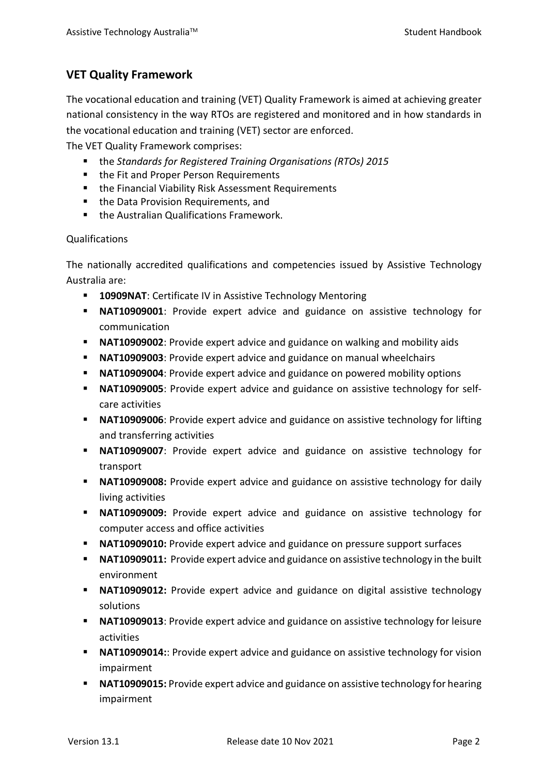# **VET Quality Framework**

The vocational education and training (VET) Quality Framework is aimed at achieving greater national consistency in the way RTOs are registered and monitored and in how standards in the vocational education and training (VET) sector are enforced.

The VET Quality Framework comprises:

- the *Standards for Registered Training Organisations (RTOs) 2015*
- **the Fit and Proper Person Requirements**
- the Financial Viability Risk Assessment Requirements
- the Data Provision Requirements, and
- **the Australian Qualifications Framework.**

#### Qualifications

The nationally accredited qualifications and competencies issued by Assistive Technology Australia are:

- **10909NAT:** Certificate IV in Assistive Technology Mentoring
- **NAT10909001**: Provide expert advice and guidance on assistive technology for communication
- **NAT10909002**: Provide expert advice and guidance on walking and mobility aids
- **NAT10909003**: Provide expert advice and guidance on manual wheelchairs
- **NAT10909004**: Provide expert advice and guidance on powered mobility options
- **NAT10909005**: Provide expert advice and guidance on assistive technology for selfcare activities
- **NAT10909006**: Provide expert advice and guidance on assistive technology for lifting and transferring activities
- **NAT10909007**: Provide expert advice and guidance on assistive technology for transport
- **NAT10909008:** Provide expert advice and guidance on assistive technology for daily living activities
- **NAT10909009:** Provide expert advice and guidance on assistive technology for computer access and office activities
- **NAT10909010:** Provide expert advice and guidance on pressure support surfaces
- **NAT10909011:** Provide expert advice and guidance on assistive technology in the built environment
- **NAT10909012:** Provide expert advice and guidance on digital assistive technology solutions
- **NAT10909013:** Provide expert advice and guidance on assistive technology for leisure activities
- **NAT10909014::** Provide expert advice and guidance on assistive technology for vision impairment
- **NAT10909015:** Provide expert advice and guidance on assistive technology for hearing impairment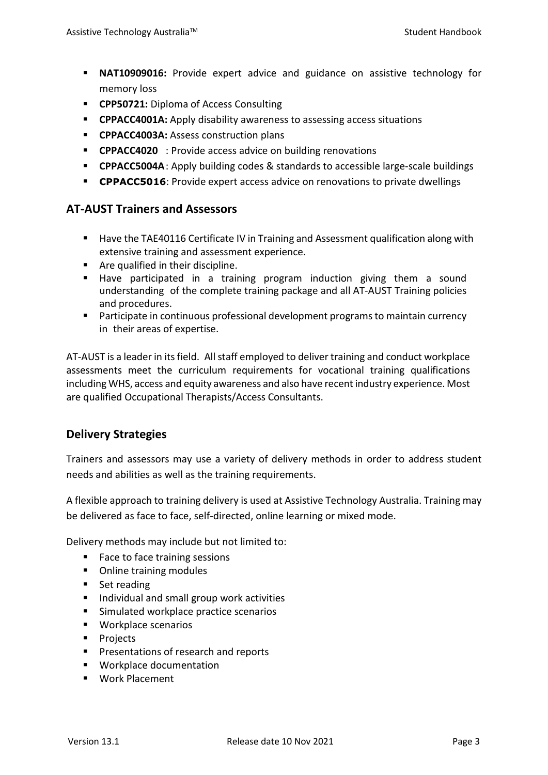- **NAT10909016:** Provide expert advice and guidance on assistive technology for memory loss
- **CPP50721:** Diploma of Access Consulting
- **CPPACC4001A:** Apply disability awareness to assessing access situations
- **CPPACC4003A: Assess construction plans**
- **CPPACC4020** : Provide access advice on building renovations
- **CPPACC5004A**: Apply building codes & standards to accessible large-scale buildings
- **CPPACC5016**: Provide expert access advice on renovations to private dwellings

## <span id="page-4-0"></span>**AT-AUST Trainers and Assessors**

- Have the TAE40116 Certificate IV in Training and Assessment qualification along with extensive training and assessment experience.
- Are qualified in their discipline.
- Have participated in a training program induction giving them a sound understanding of the complete training package and all AT-AUST Training policies and procedures.
- **Participate in continuous professional development programs to maintain currency** in their areas of expertise.

AT-AUST is a leader in its field. All staff employed to deliver training and conduct workplace assessments meet the curriculum requirements for vocational training qualifications including WHS, access and equity awareness and also have recentindustry experience. Most are qualified Occupational Therapists/Access Consultants.

# <span id="page-4-1"></span>**Delivery Strategies**

Trainers and assessors may use a variety of delivery methods in order to address student needs and abilities as well as the training requirements.

A flexible approach to training delivery is used at Assistive Technology Australia. Training may be delivered as face to face, self-directed, online learning or mixed mode.

Delivery methods may include but not limited to:

- Face to face training sessions
- Online training modules
- Set reading
- **Individual and small group work activities**
- Simulated workplace practice scenarios
- **Workplace scenarios**
- **Projects**
- **Presentations of research and reports**
- **Workplace documentation**
- Work Placement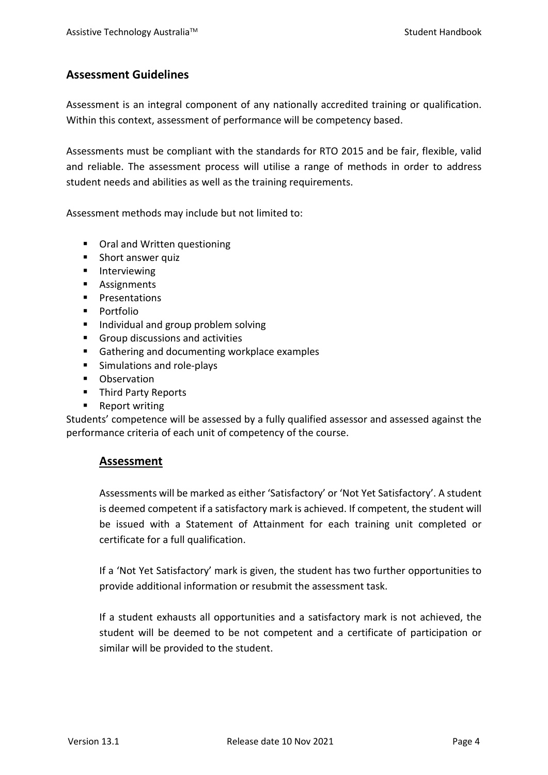# <span id="page-5-0"></span>**Assessment Guidelines**

Assessment is an integral component of any nationally accredited training or qualification. Within this context, assessment of performance will be competency based.

Assessments must be compliant with the standards for RTO 2015 and be fair, flexible, valid and reliable. The assessment process will utilise a range of methods in order to address student needs and abilities as well as the training requirements.

Assessment methods may include but not limited to:

- Oral and Written questioning
- **Short answer quiz**
- **Interviewing**
- **Assignments**
- **Presentations**
- **Portfolio**
- **Individual and group problem solving**
- Group discussions and activities
- Gathering and documenting workplace examples
- **Simulations and role-plays**
- **•** Observation
- **Third Party Reports**
- Report writing

Students' competence will be assessed by a fully qualified assessor and assessed against the performance criteria of each unit of competency of the course.

## **Assessment**

Assessments will be marked as either 'Satisfactory' or 'Not Yet Satisfactory'. A student is deemed competent if a satisfactory mark is achieved. If competent, the student will be issued with a Statement of Attainment for each training unit completed or certificate for a full qualification.

If a 'Not Yet Satisfactory' mark is given, the student has two further opportunities to provide additional information or resubmit the assessment task.

If a student exhausts all opportunities and a satisfactory mark is not achieved, the student will be deemed to be not competent and a certificate of participation or similar will be provided to the student.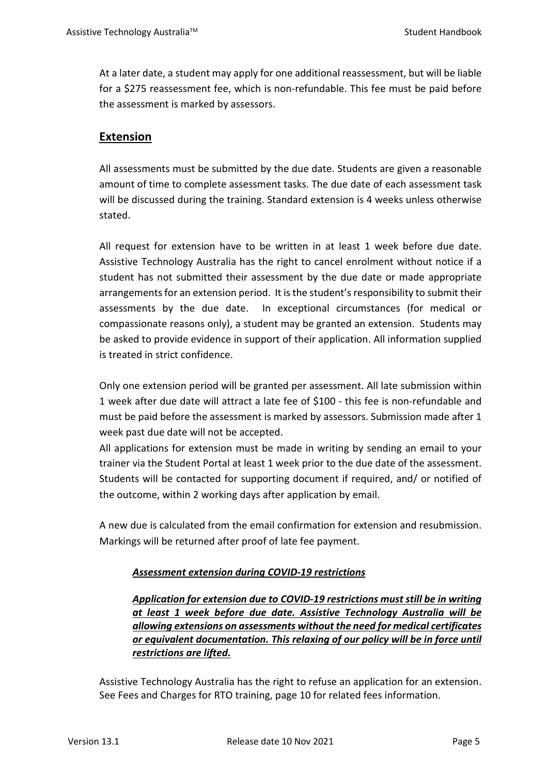At a later date, a student may apply for one additional reassessment, but will be liable for a \$275 reassessment fee, which is non-refundable. This fee must be paid before the assessment is marked by assessors.

# **Extension**

All assessments must be submitted by the due date. Students are given a reasonable amount of time to complete assessment tasks. The due date of each assessment task will be discussed during the training. Standard extension is 4 weeks unless otherwise stated.

All request for extension have to be written in at least 1 week before due date. Assistive Technology Australia has the right to cancel enrolment without notice if a student has not submitted their assessment by the due date or made appropriate arrangements for an extension period. It is the student's responsibility to submit their assessments by the due date. In exceptional circumstances (for medical or compassionate reasons only), a student may be granted an extension. Students may be asked to provide evidence in support of their application. All information supplied is treated in strict confidence.

Only one extension period will be granted per assessment. All late submission within 1 week after due date will attract a late fee of \$100 - this fee is non-refundable and must be paid before the assessment is marked by assessors. Submission made after 1 week past due date will not be accepted.

All applications for extension must be made in writing by sending an email to your trainer via the Student Portal at least 1 week prior to the due date of the assessment. Students will be contacted for supporting document if required, and/ or notified of the outcome, within 2 working days after application by email.

A new due is calculated from the email confirmation for extension and resubmission. Markings will be returned after proof of late fee payment.

## *Assessment extension during COVID-19 restrictions*

*Application for extension due to COVID-19 restrictions must still be in writing at least 1 week before due date. Assistive Technology Australia will be allowing extensions on assessments without the need for medical certificates or equivalent documentation. This relaxing of our policy will be in force until restrictions are lifted.*

Assistive Technology Australia has the right to refuse an application for an extension. See Fees and Charges for RTO training, page 10 for related fees information.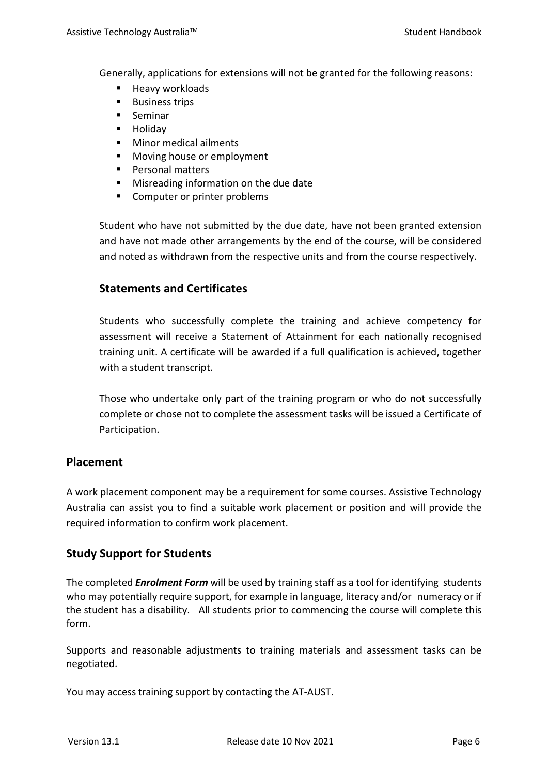Generally, applications for extensions will not be granted for the following reasons:

- **Heavy workloads**
- **Business trips**
- **Seminar**
- **Holiday**
- **Minor medical ailments**
- **Moving house or employment**
- **Personal matters**
- Misreading information on the due date
- Computer or printer problems

Student who have not submitted by the due date, have not been granted extension and have not made other arrangements by the end of the course, will be considered and noted as withdrawn from the respective units and from the course respectively.

# **Statements and Certificates**

Students who successfully complete the training and achieve competency for assessment will receive a Statement of Attainment for each nationally recognised training unit. A certificate will be awarded if a full qualification is achieved, together with a student transcript.

Those who undertake only part of the training program or who do not successfully complete or chose not to complete the assessment tasks will be issued a Certificate of Participation.

## <span id="page-7-0"></span>**Placement**

A work placement component may be a requirement for some courses. Assistive Technology Australia can assist you to find a suitable work placement or position and will provide the required information to confirm work placement.

## <span id="page-7-1"></span>**Study Support for Students**

The completed *Enrolment Form* will be used by training staff as a tool for identifying students who may potentially require support, for example in language, literacy and/or numeracy or if the student has a disability. All students prior to commencing the course will complete this form.

Supports and reasonable adjustments to training materials and assessment tasks can be negotiated.

You may access training support by contacting the AT-AUST.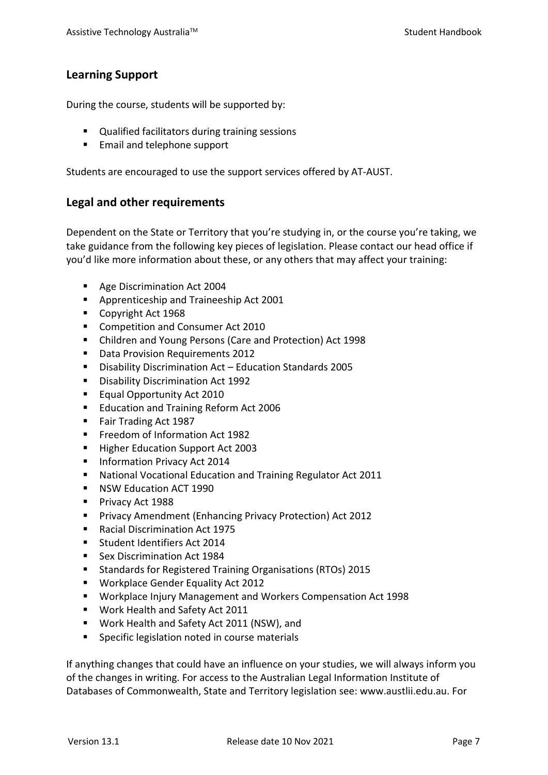# <span id="page-8-0"></span>**Learning Support**

During the course, students will be supported by:

- Qualified facilitators during training sessions
- **Email and telephone support**

Students are encouraged to use the support services offered by AT-AUST.

#### **Legal and other requirements**

Dependent on the State or Territory that you're studying in, or the course you're taking, we take guidance from the following key pieces of legislation. Please contact our head office if you'd like more information about these, or any others that may affect your training:

- Age Discrimination Act 2004
- **Apprenticeship and Traineeship Act 2001**
- Copyright Act 1968
- Competition and Consumer Act 2010
- Children and Young Persons (Care and Protection) Act 1998
- Data Provision Requirements 2012
- Disability Discrimination Act Education Standards 2005
- **Disability Discrimination Act 1992**
- **Equal Opportunity Act 2010**
- **Education and Training Reform Act 2006**
- Fair Trading Act 1987
- Freedom of Information Act 1982
- Higher Education Support Act 2003
- **Information Privacy Act 2014**
- National Vocational Education and Training Regulator Act 2011
- NSW Education ACT 1990
- Privacy Act 1988
- **Privacy Amendment (Enhancing Privacy Protection) Act 2012**
- Racial Discrimination Act 1975
- Student Identifiers Act 2014
- Sex Discrimination Act 1984
- **E** Standards for Registered Training Organisations (RTOs) 2015
- **Workplace Gender Equality Act 2012**
- Workplace Injury Management and Workers Compensation Act 1998
- Work Health and Safety Act 2011
- Work Health and Safety Act 2011 (NSW), and
- **Specific legislation noted in course materials**

If anything changes that could have an influence on your studies, we will always inform you of the changes in writing. For access to the Australian Legal Information Institute of Databases of Commonwealth, State and Territory legislation see: www.austlii.edu.au. For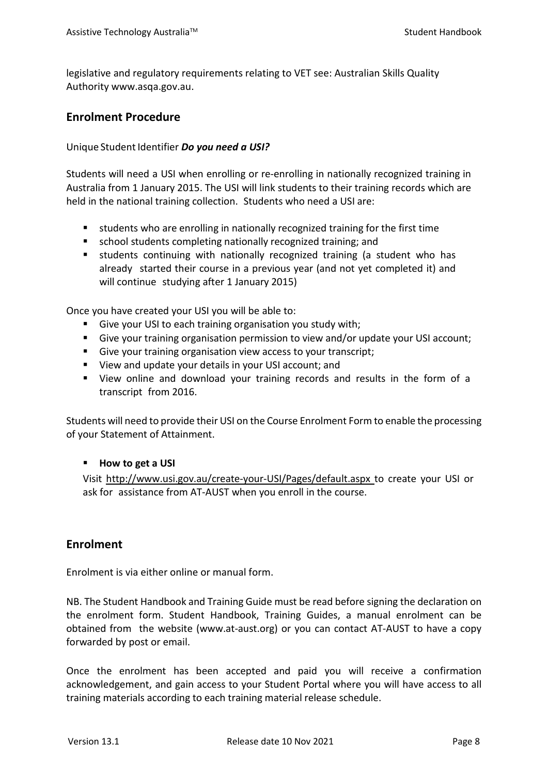legislative and regulatory requirements relating to VET see: Australian Skills Quality Authority www.asqa.gov.au.

## **Enrolment Procedure**

Unique Student Identifier *Do you need a USI?* 

Students will need a USI when enrolling or re-enrolling in nationally recognized training in Australia from 1 January 2015. The USI will link students to their training records which are held in the national training collection. Students who need a USI are:

- students who are enrolling in nationally recognized training for the first time
- school students completing nationally recognized training; and
- students continuing with nationally recognized training (a student who has already started their course in a previous year (and not yet completed it) and will continue studying after 1 January 2015)

Once you have created your USI you will be able to:

- Give your USI to each training organisation you study with;
- Give your training organisation permission to view and/or update your USI account;
- Give your training organisation view access to your transcript;
- View and update your details in your USI account; and
- View online and download your training records and results in the form of a transcript from 2016.

Students will need to provide their USI on the Course Enrolment Form to enable the processing of your Statement of Attainment.

#### **How to get a USI**

Visit <http://www.usi.gov.au/create-your-USI/Pages/default.aspx> to create your USI or ask for assistance from AT-AUST when you enroll in the course.

## <span id="page-9-0"></span>**Enrolment**

Enrolment is via either online or manual form.

NB. The Student Handbook and Training Guide must be read before signing the declaration on the enrolment form. Student Handbook, Training Guides, a manual enrolment can be obtained from the website (www.at-aust.org) or you can contact AT-AUST to have a copy forwarded by post or email.

Once the enrolment has been accepted and paid you will receive a confirmation acknowledgement, and gain access to your Student Portal where you will have access to all training materials according to each training material release schedule.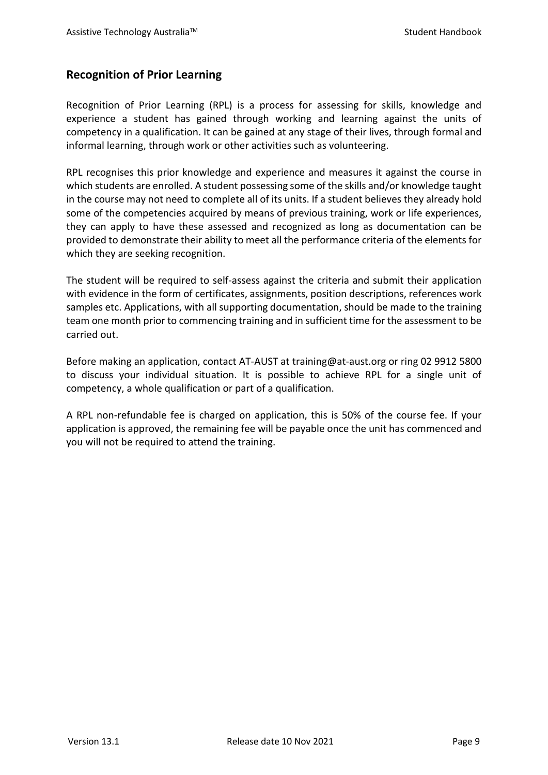## <span id="page-10-0"></span>**Recognition of Prior Learning**

Recognition of Prior Learning (RPL) is a process for assessing for skills, knowledge and experience a student has gained through working and learning against the units of competency in a qualification. It can be gained at any stage of their lives, through formal and informal learning, through work or other activities such as volunteering.

RPL recognises this prior knowledge and experience and measures it against the course in which students are enrolled. A student possessing some of the skills and/or knowledge taught in the course may not need to complete all of its units. If a student believes they already hold some of the competencies acquired by means of previous training, work or life experiences, they can apply to have these assessed and recognized as long as documentation can be provided to demonstrate their ability to meet all the performance criteria of the elements for which they are seeking recognition.

The student will be required to self-assess against the criteria and submit their application with evidence in the form of certificates, assignments, position descriptions, references work samples etc. Applications, with all supporting documentation, should be made to the training team one month prior to commencing training and in sufficient time for the assessment to be carried out.

Before making an application, contact AT-AUST at training@at-aust.org or ring 02 9912 5800 to discuss your individual situation. It is possible to achieve RPL for a single unit of competency, a whole qualification or part of a qualification.

A RPL non-refundable fee is charged on application, this is 50% of the course fee. If your application is approved, the remaining fee will be payable once the unit has commenced and you will not be required to attend the training.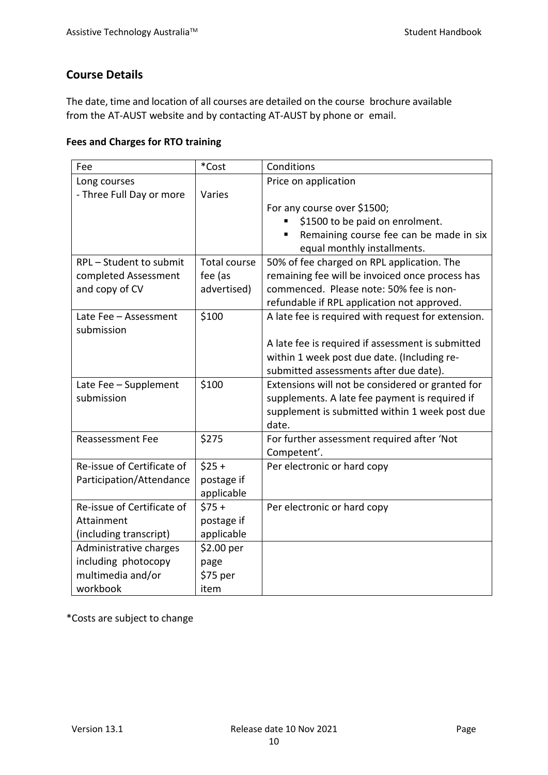# <span id="page-11-0"></span>**Course Details**

The date, time and location of all courses are detailed on the course brochure available from the AT-AUST website and by contacting AT-AUST by phone or email.

## <span id="page-11-1"></span>**Fees and Charges for RTO training**

| Fee                        | *Cost               | Conditions                                         |  |
|----------------------------|---------------------|----------------------------------------------------|--|
| Long courses               |                     | Price on application                               |  |
| - Three Full Day or more   | Varies              |                                                    |  |
|                            |                     | For any course over \$1500;                        |  |
|                            |                     | \$1500 to be paid on enrolment.                    |  |
|                            |                     | Remaining course fee can be made in six            |  |
|                            |                     | equal monthly installments.                        |  |
| RPL - Student to submit    | <b>Total course</b> | 50% of fee charged on RPL application. The         |  |
| completed Assessment       | fee (as             | remaining fee will be invoiced once process has    |  |
| and copy of CV             | advertised)         | commenced. Please note: 50% fee is non-            |  |
|                            |                     | refundable if RPL application not approved.        |  |
| Late Fee - Assessment      | \$100               | A late fee is required with request for extension. |  |
| submission                 |                     |                                                    |  |
|                            |                     | A late fee is required if assessment is submitted  |  |
|                            |                     | within 1 week post due date. (Including re-        |  |
|                            |                     | submitted assessments after due date).             |  |
| Late Fee - Supplement      | \$100               | Extensions will not be considered or granted for   |  |
| submission                 |                     | supplements. A late fee payment is required if     |  |
|                            |                     | supplement is submitted within 1 week post due     |  |
|                            |                     | date.                                              |  |
| <b>Reassessment Fee</b>    | \$275               | For further assessment required after 'Not         |  |
|                            |                     | Competent'.                                        |  |
| Re-issue of Certificate of | $$25 +$             | Per electronic or hard copy                        |  |
| Participation/Attendance   | postage if          |                                                    |  |
|                            | applicable          |                                                    |  |
| Re-issue of Certificate of | $$75+$              | Per electronic or hard copy                        |  |
| Attainment                 | postage if          |                                                    |  |
| (including transcript)     | applicable          |                                                    |  |
| Administrative charges     | \$2.00 per          |                                                    |  |
| including photocopy        | page                |                                                    |  |
| multimedia and/or          | \$75 per            |                                                    |  |
| workbook                   | item                |                                                    |  |

\*Costs are subject to change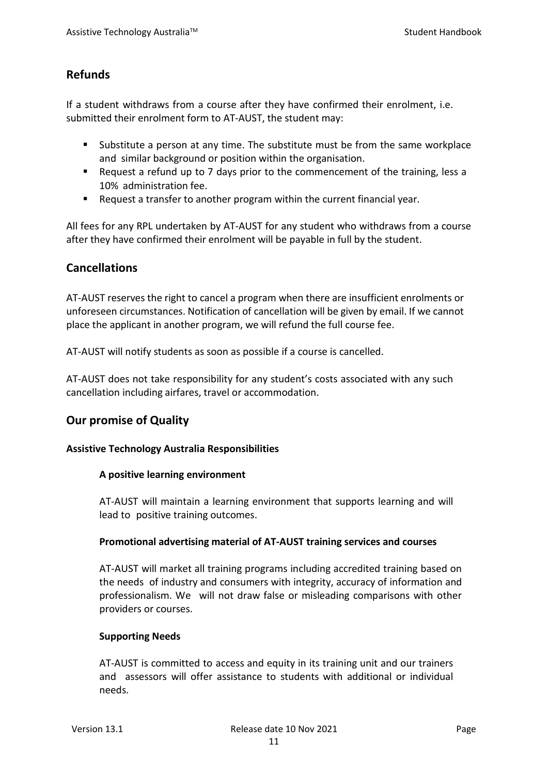# <span id="page-12-0"></span>**Refunds**

If a student withdraws from a course after they have confirmed their enrolment, i.e. submitted their enrolment form to AT-AUST, the student may:

- Substitute a person at any time. The substitute must be from the same workplace and similar background or position within the organisation.
- Request a refund up to 7 days prior to the commencement of the training, less a 10% administration fee.
- Request a transfer to another program within the current financial year.

All fees for any RPL undertaken by AT-AUST for any student who withdraws from a course after they have confirmed their enrolment will be payable in full by the student.

# <span id="page-12-1"></span>**Cancellations**

AT-AUST reserves the right to cancel a program when there are insufficient enrolments or unforeseen circumstances. Notification of cancellation will be given by email. If we cannot place the applicant in another program, we will refund the full course fee.

AT-AUST will notify students as soon as possible if a course is cancelled.

AT-AUST does not take responsibility for any student's costs associated with any such cancellation including airfares, travel or accommodation.

# <span id="page-12-2"></span>**Our promise of Quality**

#### **Assistive Technology Australia Responsibilities**

#### **A positive learning environment**

AT-AUST will maintain a learning environment that supports learning and will lead to positive training outcomes.

#### **Promotional advertising material of AT-AUST training services and courses**

AT-AUST will market all training programs including accredited training based on the needs of industry and consumers with integrity, accuracy of information and professionalism. We will not draw false or misleading comparisons with other providers or courses.

#### **Supporting Needs**

AT-AUST is committed to access and equity in its training unit and our trainers and assessors will offer assistance to students with additional or individual needs.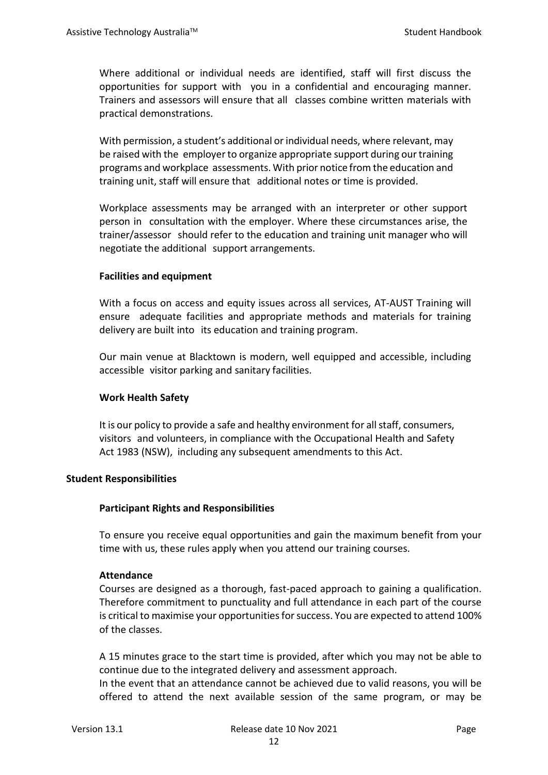Where additional or individual needs are identified, staff will first discuss the opportunities for support with you in a confidential and encouraging manner. Trainers and assessors will ensure that all classes combine written materials with practical demonstrations.

With permission, a student's additional or individual needs, where relevant, may be raised with the employer to organize appropriate support during ourtraining programs and workplace assessments. With prior notice from the education and training unit, staff will ensure that additional notes or time is provided.

Workplace assessments may be arranged with an interpreter or other support person in consultation with the employer. Where these circumstances arise, the trainer/assessor should refer to the education and training unit manager who will negotiate the additional support arrangements.

#### **Facilities and equipment**

With a focus on access and equity issues across all services, AT-AUST Training will ensure adequate facilities and appropriate methods and materials for training delivery are built into its education and training program.

Our main venue at Blacktown is modern, well equipped and accessible, including accessible visitor parking and sanitary facilities.

#### **Work Health Safety**

It is our policy to provide a safe and healthy environment for allstaff, consumers, visitors and volunteers, in compliance with the Occupational Health and Safety Act 1983 (NSW), including any subsequent amendments to this Act.

#### **Student Responsibilities**

## **Participant Rights and Responsibilities**

To ensure you receive equal opportunities and gain the maximum benefit from your time with us, these rules apply when you attend our training courses.

#### **Attendance**

Courses are designed as a thorough, fast-paced approach to gaining a qualification. Therefore commitment to punctuality and full attendance in each part of the course is critical to maximise your opportunities for success. You are expected to attend 100% of the classes.

A 15 minutes grace to the start time is provided, after which you may not be able to continue due to the integrated delivery and assessment approach.

In the event that an attendance cannot be achieved due to valid reasons, you will be offered to attend the next available session of the same program, or may be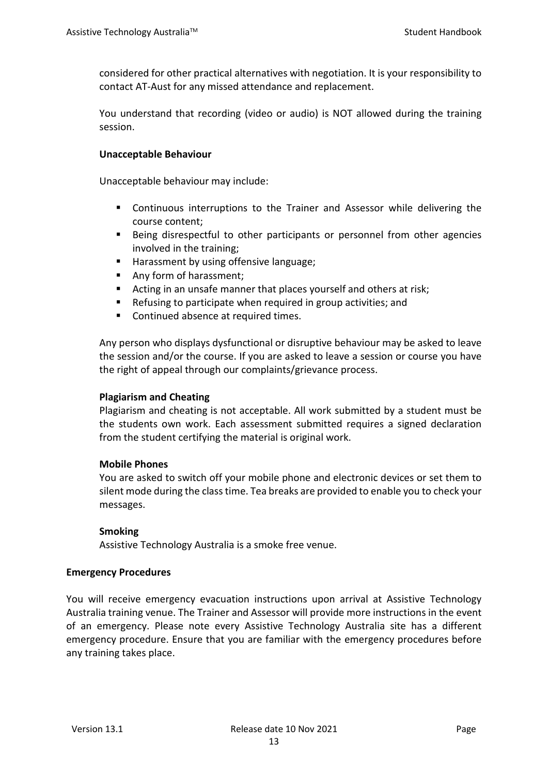considered for other practical alternatives with negotiation. It is your responsibility to contact AT-Aust for any missed attendance and replacement.

You understand that recording (video or audio) is NOT allowed during the training session.

#### **Unacceptable Behaviour**

Unacceptable behaviour may include:

- Continuous interruptions to the Trainer and Assessor while delivering the course content;
- Being disrespectful to other participants or personnel from other agencies involved in the training;
- Harassment by using offensive language;
- Any form of harassment;
- Acting in an unsafe manner that places yourself and others at risk;
- Refusing to participate when required in group activities; and
- Continued absence at required times.

Any person who displays dysfunctional or disruptive behaviour may be asked to leave the session and/or the course. If you are asked to leave a session or course you have the right of appeal through our complaints/grievance process.

#### **Plagiarism and Cheating**

Plagiarism and cheating is not acceptable. All work submitted by a student must be the students own work. Each assessment submitted requires a signed declaration from the student certifying the material is original work.

#### **Mobile Phones**

You are asked to switch off your mobile phone and electronic devices or set them to silent mode during the class time. Tea breaks are provided to enable you to check your messages.

#### **Smoking**

Assistive Technology Australia is a smoke free venue.

#### **Emergency Procedures**

You will receive emergency evacuation instructions upon arrival at Assistive Technology Australia training venue. The Trainer and Assessor will provide more instructions in the event of an emergency. Please note every Assistive Technology Australia site has a different emergency procedure. Ensure that you are familiar with the emergency procedures before any training takes place.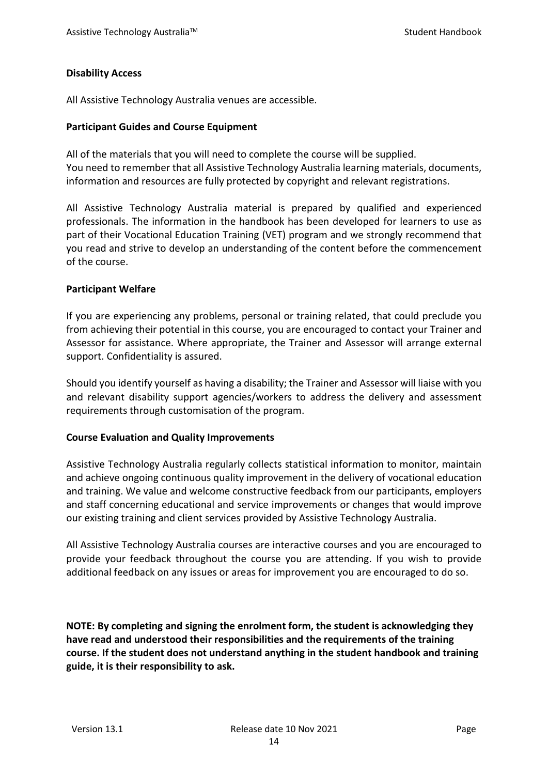#### **Disability Access**

All Assistive Technology Australia venues are accessible.

#### **Participant Guides and Course Equipment**

All of the materials that you will need to complete the course will be supplied. You need to remember that all Assistive Technology Australia learning materials, documents, information and resources are fully protected by copyright and relevant registrations.

All Assistive Technology Australia material is prepared by qualified and experienced professionals. The information in the handbook has been developed for learners to use as part of their Vocational Education Training (VET) program and we strongly recommend that you read and strive to develop an understanding of the content before the commencement of the course.

#### **Participant Welfare**

If you are experiencing any problems, personal or training related, that could preclude you from achieving their potential in this course, you are encouraged to contact your Trainer and Assessor for assistance. Where appropriate, the Trainer and Assessor will arrange external support. Confidentiality is assured.

Should you identify yourself as having a disability; the Trainer and Assessor will liaise with you and relevant disability support agencies/workers to address the delivery and assessment requirements through customisation of the program.

#### **Course Evaluation and Quality Improvements**

Assistive Technology Australia regularly collects statistical information to monitor, maintain and achieve ongoing continuous quality improvement in the delivery of vocational education and training. We value and welcome constructive feedback from our participants, employers and staff concerning educational and service improvements or changes that would improve our existing training and client services provided by Assistive Technology Australia.

All Assistive Technology Australia courses are interactive courses and you are encouraged to provide your feedback throughout the course you are attending. If you wish to provide additional feedback on any issues or areas for improvement you are encouraged to do so.

**NOTE: By completing and signing the enrolment form, the student is acknowledging they have read and understood their responsibilities and the requirements of the training course. If the student does not understand anything in the student handbook and training guide, it is their responsibility to ask.**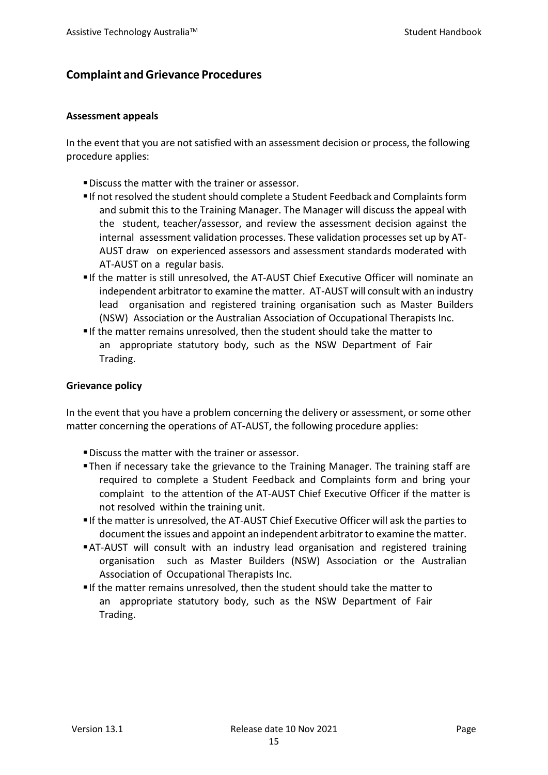# <span id="page-16-0"></span>**Complaint andGrievance Procedures**

#### **Assessment appeals**

In the event that you are not satisfied with an assessment decision or process, the following procedure applies:

- Discuss the matter with the trainer or assessor.
- If not resolved the student should complete a Student Feedback and Complaintsform and submit this to the Training Manager. The Manager will discuss the appeal with the student, teacher/assessor, and review the assessment decision against the internal assessment validation processes. These validation processes set up by AT-AUST draw on experienced assessors and assessment standards moderated with AT-AUST on a regular basis.
- If the matter is still unresolved, the AT-AUST Chief Executive Officer will nominate an independent arbitrator to examine the matter. AT-AUST will consult with an industry lead organisation and registered training organisation such as Master Builders (NSW) Association or the Australian Association of Occupational Therapists Inc.
- If the matter remains unresolved, then the student should take the matter to an appropriate statutory body, such as the NSW Department of Fair Trading.

#### **Grievance policy**

In the event that you have a problem concerning the delivery or assessment, or some other matter concerning the operations of AT-AUST, the following procedure applies:

- Discuss the matter with the trainer or assessor.
- Then if necessary take the grievance to the Training Manager. The training staff are required to complete a Student Feedback and Complaints form and bring your complaint to the attention of the AT-AUST Chief Executive Officer if the matter is not resolved within the training unit.
- If the matter is unresolved, the AT-AUST Chief Executive Officer will ask the parties to document the issues and appoint an independent arbitrator to examine the matter.
- AT-AUST will consult with an industry lead organisation and registered training organisation such as Master Builders (NSW) Association or the Australian Association of Occupational Therapists Inc.
- If the matter remains unresolved, then the student should take the matter to an appropriate statutory body, such as the NSW Department of Fair Trading.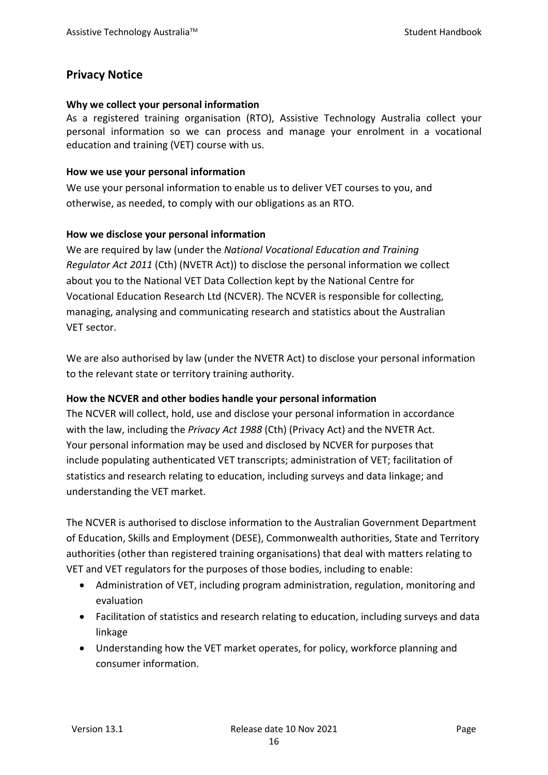# <span id="page-17-0"></span>**Privacy Notice**

#### **Why we collect your personal information**

As a registered training organisation (RTO), Assistive Technology Australia collect your personal information so we can process and manage your enrolment in a vocational education and training (VET) course with us.

#### **How we use your personal information**

We use your personal information to enable us to deliver VET courses to you, and otherwise, as needed, to comply with our obligations as an RTO.

## **How we disclose your personal information**

We are required by law (under the *National Vocational Education and Training Regulator Act 2011* (Cth) (NVETR Act)) to disclose the personal information we collect about you to the National VET Data Collection kept by the National Centre for Vocational Education Research Ltd (NCVER). The NCVER is responsible for collecting, managing, analysing and communicating research and statistics about the Australian VET sector.

We are also authorised by law (under the NVETR Act) to disclose your personal information to the relevant state or territory training authority.

## **How the NCVER and other bodies handle your personal information**

The NCVER will collect, hold, use and disclose your personal information in accordance with the law, including the *Privacy Act 1988* (Cth) (Privacy Act) and the NVETR Act. Your personal information may be used and disclosed by NCVER for purposes that include populating authenticated VET transcripts; administration of VET; facilitation of statistics and research relating to education, including surveys and data linkage; and understanding the VET market.

The NCVER is authorised to disclose information to the Australian Government Department of Education, Skills and Employment (DESE), Commonwealth authorities, State and Territory authorities (other than registered training organisations) that deal with matters relating to VET and VET regulators for the purposes of those bodies, including to enable:

- Administration of VET, including program administration, regulation, monitoring and evaluation
- Facilitation of statistics and research relating to education, including surveys and data linkage
- Understanding how the VET market operates, for policy, workforce planning and consumer information.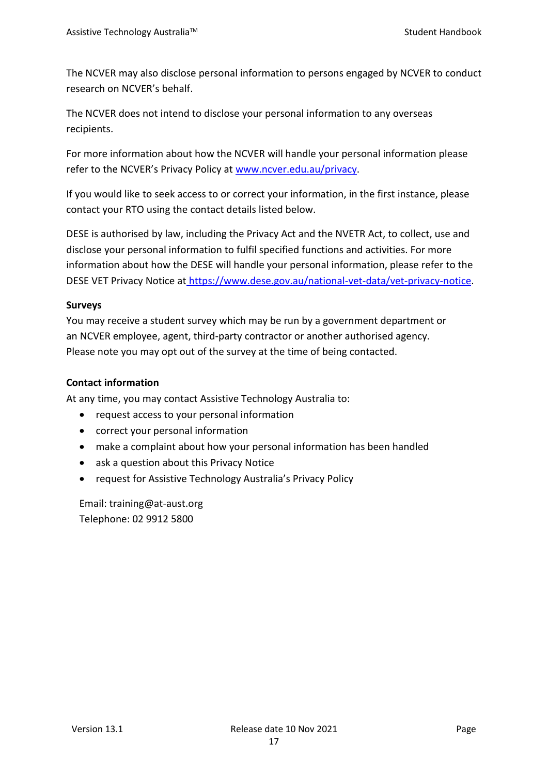The NCVER may also disclose personal information to persons engaged by NCVER to conduct research on NCVER's behalf.

The NCVER does not intend to disclose your personal information to any overseas recipients.

For more information about how the NCVER will handle your personal information please refer to the NCVER's Privacy Policy a[t www.ncver.edu.au/privacy.](http://www.ncver.edu.au/privacy)

If you would like to seek access to or correct your information, in the first instance, please contact your RTO using the contact details listed below.

DESE is authorised by law, including the Privacy Act and the NVETR Act, to collect, use and disclose your personal information to fulfil specified functions and activities. For more information about how the DESE will handle your personal information, please refer to the DESE VET Privacy Notice at [https://www.dese.gov.au/national-vet-data/vet-privacy-notice.](https://www.dese.gov.au/national-vet-data/vet-privacy-notice)

#### **Surveys**

You may receive a student survey which may be run by a government department or an NCVER employee, agent, third-party contractor or another authorised agency. Please note you may opt out of the survey at the time of being contacted.

### **Contact information**

At any time, you may contact Assistive Technology Australia to:

- request access to your personal information
- correct your personal information
- make a complaint about how your personal information has been handled
- ask a question about this Privacy Notice
- request for Assistive Technology Australia's Privacy Policy

Email: training@at-aust.org Telephone: 02 9912 5800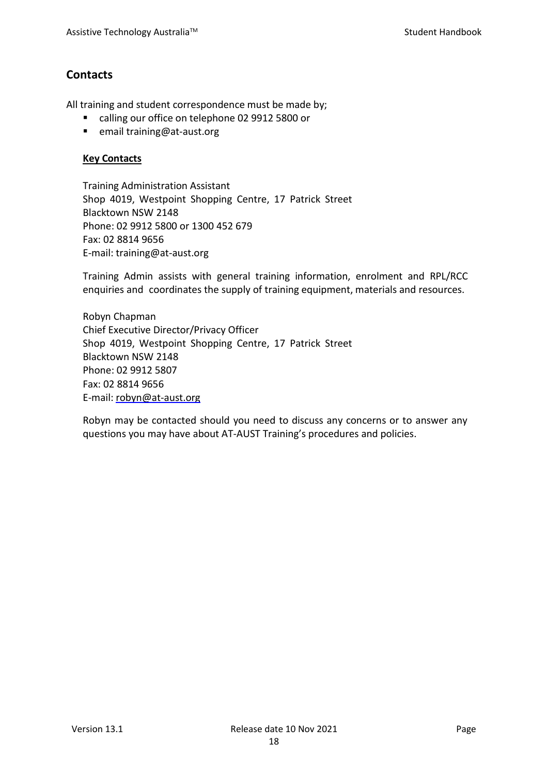# <span id="page-19-0"></span>**Contacts**

All training and student correspondence must be made by;

- calling our office on telephone 02 9912 5800 or
- email training@at-aust.org

#### **Key Contacts**

Training Administration Assistant Shop 4019, Westpoint Shopping Centre, 17 Patrick Street Blacktown NSW 2148 Phone: 02 9912 5800 or 1300 452 679 Fax: 02 8814 9656 E-mail: training@at-aust.org

Training Admin assists with general training information, enrolment and RPL/RCC enquiries and coordinates the supply of training equipment, materials and resources.

Robyn Chapman Chief Executive Director/Privacy Officer Shop 4019, Westpoint Shopping Centre, 17 Patrick Street Blacktown NSW 2148 Phone: 02 9912 5807 Fax: 02 8814 9656 E-mail: [robyn@at-aust.org](mailto:robyn@at-aust.org)

Robyn may be contacted should you need to discuss any concerns or to answer any questions you may have about AT-AUST Training's procedures and policies.